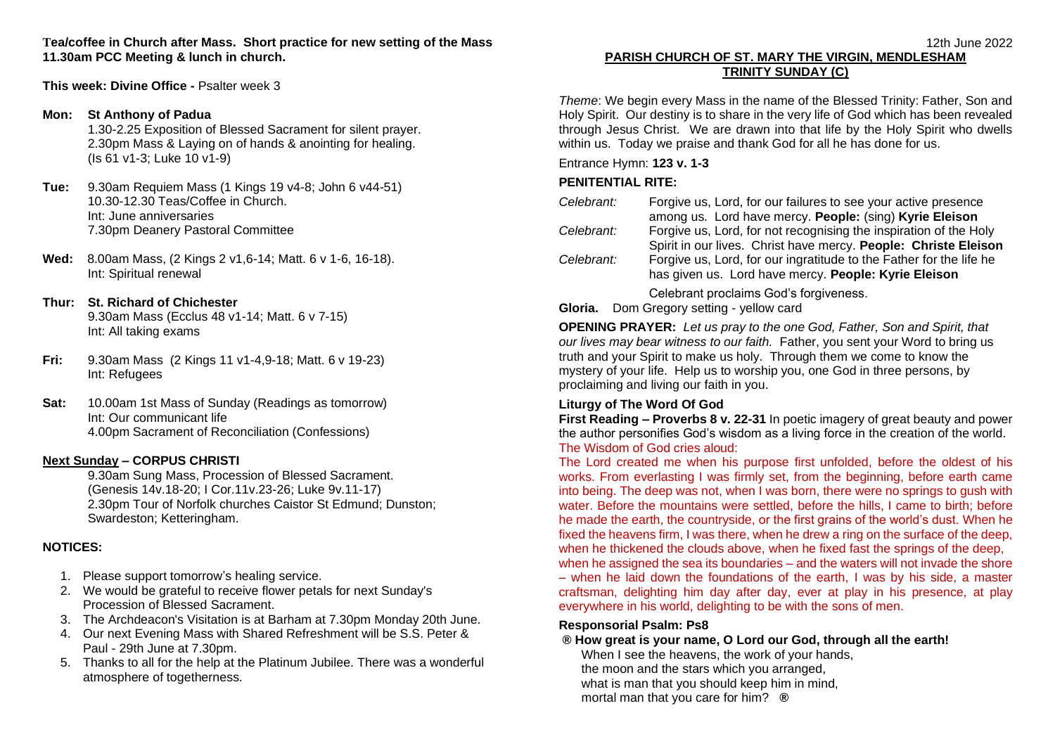**Tea/coffee in Church after Mass. Short practice for new setting of the Mass 11.30am PCC Meeting & lunch in church.**

**This week: Divine Office -** Psalter week 3

### **Mon: St Anthony of Padua**

1.30-2.25 Exposition of Blessed Sacrament for silent prayer. 2.30pm Mass & Laying on of hands & anointing for healing. (Is 61 v1-3; Luke 10 v1-9)

- **Tue:** 9.30am Requiem Mass (1 Kings 19 v4-8; John 6 v44-51) 10.30-12.30 Teas/Coffee in Church. Int: June anniversaries 7.30pm Deanery Pastoral Committee
- **Wed:** 8.00am Mass, (2 Kings 2 v1,6-14; Matt. 6 v 1-6, 16-18). Int: Spiritual renewal

## **Thur: St. Richard of Chichester**

9.30am Mass (Ecclus 48 v1-14; Matt. 6 v 7-15) Int: All taking exams

- **Fri:** 9.30am Mass (2 Kings 11 v1-4,9-18; Matt. 6 v 19-23) Int: Refugees
- **Sat:** 10.00am 1st Mass of Sunday (Readings as tomorrow) Int: Our communicant life 4.00pm Sacrament of Reconciliation (Confessions)

### **Next Sunday – CORPUS CHRISTI**

9.30am Sung Mass, Procession of Blessed Sacrament. (Genesis 14v.18-20; I Cor.11v.23-26; Luke 9v.11-17) 2.30pm Tour of Norfolk churches Caistor St Edmund; Dunston; Swardeston; Ketteringham.

## **NOTICES:**

- 1. Please support tomorrow's healing service.
- 2. We would be grateful to receive flower petals for next Sunday's Procession of Blessed Sacrament.
- 3. The Archdeacon's Visitation is at Barham at 7.30pm Monday 20th June.
- 4. Our next Evening Mass with Shared Refreshment will be S.S. Peter & Paul - 29th June at 7.30pm.
- 5. Thanks to all for the help at the Platinum Jubilee. There was a wonderful atmosphere of togetherness.

# **PARISH CHURCH OF ST. MARY THE VIRGIN, MENDLESHAM TRINITY SUNDAY (C)**

*Theme*: We begin every Mass in the name of the Blessed Trinity: Father, Son and Holy Spirit. Our destiny is to share in the very life of God which has been revealed through Jesus Christ. We are drawn into that life by the Holy Spirit who dwells within us. Today we praise and thank God for all he has done for us.

Entrance Hymn: **123 v. 1-3**

## **PENITENTIAL RITE:**

| Celebrant: | Forgive us, Lord, for our failures to see your active presence      |
|------------|---------------------------------------------------------------------|
|            | among us. Lord have mercy. People: (sing) Kyrie Eleison             |
| Celebrant: | Forgive us, Lord, for not recognising the inspiration of the Holy   |
|            | Spirit in our lives. Christ have mercy. People: Christe Eleison     |
| Celebrant: | Forgive us, Lord, for our ingratitude to the Father for the life he |
|            | has given us. Lord have mercy. People: Kyrie Eleison                |
|            | Celebrant proclaims God's forgiveness.                              |
| Gloria.    | Dom Gregory setting - yellow card                                   |

**OPENING PRAYER:** *Let us pray to the one God, Father, Son and Spirit, that our lives may bear witness to our faith.* Father, you sent your Word to bring us truth and your Spirit to make us holy. Through them we come to know the mystery of your life. Help us to worship you, one God in three persons, by proclaiming and living our faith in you.

## **Liturgy of The Word Of God**

**First Reading – Proverbs 8 v. 22-31** In poetic imagery of great beauty and power the author personifies God's wisdom as a living force in the creation of the world. The Wisdom of God cries aloud:

The Lord created me when his purpose first unfolded, before the oldest of his works. From everlasting I was firmly set, from the beginning, before earth came into being. The deep was not, when I was born, there were no springs to gush with water. Before the mountains were settled, before the hills, I came to birth; before he made the earth, the countryside, or the first grains of the world's dust. When he fixed the heavens firm, I was there, when he drew a ring on the surface of the deep, when he thickened the clouds above, when he fixed fast the springs of the deep, when he assigned the sea its boundaries – and the waters will not invade the shore – when he laid down the foundations of the earth, I was by his side, a master craftsman, delighting him day after day, ever at play in his presence, at play everywhere in his world, delighting to be with the sons of men.

### **Responsorial Psalm: Ps8**

## **® How great is your name, O Lord our God, through all the earth!**

When I see the heavens, the work of your hands, the moon and the stars which you arranged, what is man that you should keep him in mind, mortal man that you care for him? **®**